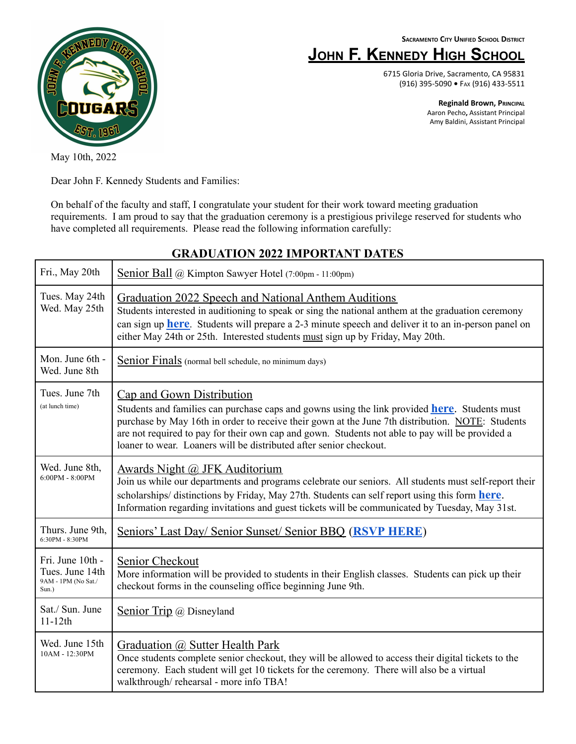**SACRAMENTO CITY UNIFIED SCHOOL DISTRICT**

# **JOHN F. KENNEDY HIGH SCHOOL**

6715 Gloria Drive, Sacramento, CA 95831 (916) 395-5090 **•** FAX (916) 433-5511

> **Reginald Brown, PRINCIPAL** Aaron Pecho**,** Assistant Principal Amy Baldini, Assistant Principal



May 10th, 2022

Dear John F. Kennedy Students and Families:

On behalf of the faculty and staff, I congratulate your student for their work toward meeting graduation requirements. I am proud to say that the graduation ceremony is a prestigious privilege reserved for students who have completed all requirements. Please read the following information carefully:

| Fri., May 20th                                                      | Senior Ball @ Kimpton Sawyer Hotel (7:00pm - 11:00pm)                                                                                                                                                                                                                                                                                                                                                           |
|---------------------------------------------------------------------|-----------------------------------------------------------------------------------------------------------------------------------------------------------------------------------------------------------------------------------------------------------------------------------------------------------------------------------------------------------------------------------------------------------------|
| Tues. May 24th<br>Wed. May 25th                                     | Graduation 2022 Speech and National Anthem Auditions<br>Students interested in auditioning to speak or sing the national anthem at the graduation ceremony<br>can sign up <b>here</b> . Students will prepare a 2-3 minute speech and deliver it to an in-person panel on<br>either May 24th or 25th. Interested students must sign up by Friday, May 20th.                                                     |
| Mon. June 6th -<br>Wed. June 8th                                    | Senior Finals (normal bell schedule, no minimum days)                                                                                                                                                                                                                                                                                                                                                           |
| Tues. June 7th<br>(at lunch time)                                   | Cap and Gown Distribution<br>Students and families can purchase caps and gowns using the link provided <b>here</b> . Students must<br>purchase by May 16th in order to receive their gown at the June 7th distribution. NOTE: Students<br>are not required to pay for their own cap and gown. Students not able to pay will be provided a<br>loaner to wear. Loaners will be distributed after senior checkout. |
| Wed. June 8th,<br>$6:00PM - 8:00PM$                                 | <b>Awards Night @ JFK Auditorium</b><br>Join us while our departments and programs celebrate our seniors. All students must self-report their<br>scholarships/ distinctions by Friday, May 27th. Students can self report using this form here.<br>Information regarding invitations and guest tickets will be communicated by Tuesday, May 31st.                                                               |
| Thurs. June 9th.<br>6:30PM - 8:30PM                                 | Seniors' Last Day/ Senior Sunset/ Senior BBQ (RSVP HERE)                                                                                                                                                                                                                                                                                                                                                        |
| Fri. June 10th -<br>Tues. June 14th<br>9AM - 1PM (No Sat./<br>Sun.) | Senior Checkout<br>More information will be provided to students in their English classes. Students can pick up their<br>checkout forms in the counseling office beginning June 9th.                                                                                                                                                                                                                            |
| Sat./ Sun. June<br>$11-12th$                                        | Senior Trip @ Disneyland                                                                                                                                                                                                                                                                                                                                                                                        |
| Wed. June 15th<br>10AM - 12:30PM                                    | Graduation @ Sutter Health Park<br>Once students complete senior checkout, they will be allowed to access their digital tickets to the<br>ceremony. Each student will get 10 tickets for the ceremony. There will also be a virtual<br>walkthrough/rehearsal - more info TBA!                                                                                                                                   |

### **GRADUATION 2022 IMPORTANT DATES**